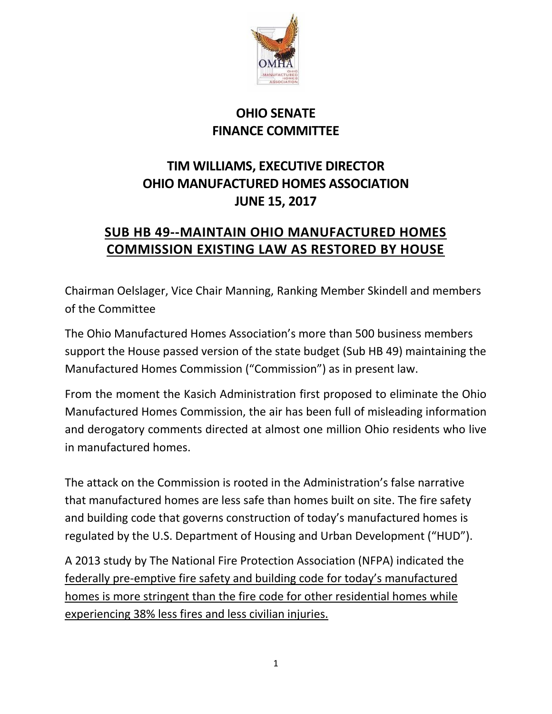

### **OHIO SENATE FINANCE COMMITTEE**

# **TIM WILLIAMS, EXECUTIVE DIRECTOR OHIO MANUFACTURED HOMES ASSOCIATION JUNE 15, 2017**

# **SUB HB 49--MAINTAIN OHIO MANUFACTURED HOMES COMMISSION EXISTING LAW AS RESTORED BY HOUSE**

Chairman Oelslager, Vice Chair Manning, Ranking Member Skindell and members of the Committee

The Ohio Manufactured Homes Association's more than 500 business members support the House passed version of the state budget (Sub HB 49) maintaining the Manufactured Homes Commission ("Commission") as in present law.

From the moment the Kasich Administration first proposed to eliminate the Ohio Manufactured Homes Commission, the air has been full of misleading information and derogatory comments directed at almost one million Ohio residents who live in manufactured homes.

The attack on the Commission is rooted in the Administration's false narrative that manufactured homes are less safe than homes built on site. The fire safety and building code that governs construction of today's manufactured homes is regulated by the U.S. Department of Housing and Urban Development ("HUD").

A 2013 study by The National Fire Protection Association (NFPA) indicated the federally pre-emptive fire safety and building code for today's manufactured homes is more stringent than the fire code for other residential homes while experiencing 38% less fires and less civilian injuries.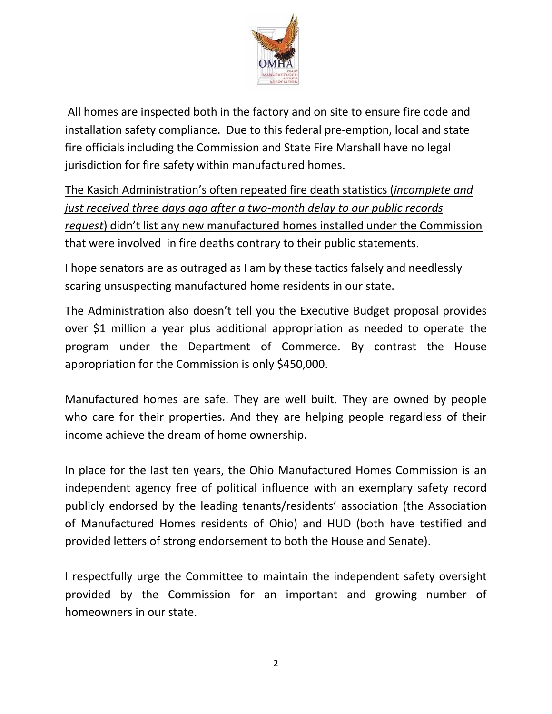

All homes are inspected both in the factory and on site to ensure fire code and installation safety compliance. Due to this federal pre-emption, local and state fire officials including the Commission and State Fire Marshall have no legal jurisdiction for fire safety within manufactured homes.

The Kasich Administration's often repeated fire death statistics (*incomplete and just received three days ago after a two-month delay to our public records request*) didn't list any new manufactured homes installed under the Commission that were involved in fire deaths contrary to their public statements.

I hope senators are as outraged as I am by these tactics falsely and needlessly scaring unsuspecting manufactured home residents in our state.

The Administration also doesn't tell you the Executive Budget proposal provides over \$1 million a year plus additional appropriation as needed to operate the program under the Department of Commerce. By contrast the House appropriation for the Commission is only \$450,000.

Manufactured homes are safe. They are well built. They are owned by people who care for their properties. And they are helping people regardless of their income achieve the dream of home ownership.

In place for the last ten years, the Ohio Manufactured Homes Commission is an independent agency free of political influence with an exemplary safety record publicly endorsed by the leading tenants/residents' association (the Association of Manufactured Homes residents of Ohio) and HUD (both have testified and provided letters of strong endorsement to both the House and Senate).

I respectfully urge the Committee to maintain the independent safety oversight provided by the Commission for an important and growing number of homeowners in our state.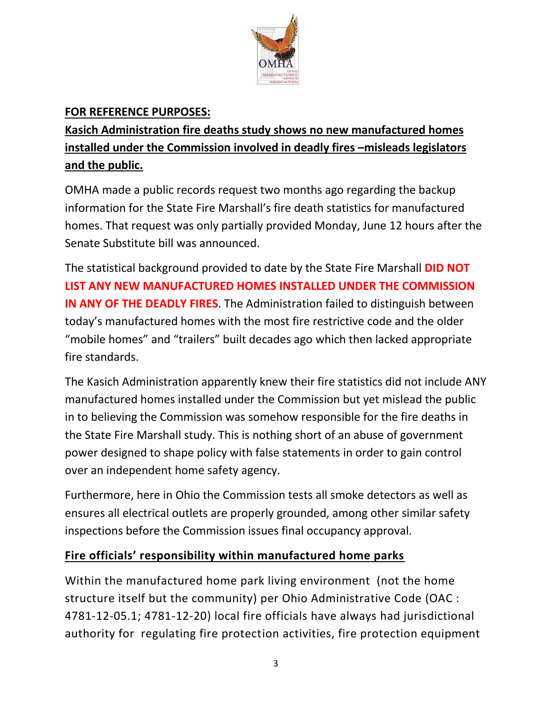

#### **FOR REFERENCE PURPOSES:**

## **Kasich Administration fire deaths study shows no new manufactured homes installed under the Commission involved in deadly fires –misleads legislators and the public.**

OMHA made a public records request two months ago regarding the backup information for the State Fire Marshall's fire death statistics for manufactured homes. That request was only partially provided Monday, June 12 hours after the Senate Substitute bill was announced.

The statistical background provided to date by the State Fire Marshall **DID NOT LIST ANY NEW MANUFACTURED HOMES INSTALLED UNDER THE COMMISSION IN ANY OF THE DEADLY FIRES**. The Administration failed to distinguish between today's manufactured homes with the most fire restrictive code and the older "mobile homes" and "trailers" built decades ago which then lacked appropriate fire standards.

The Kasich Administration apparently knew their fire statistics did not include ANY manufactured homes installed under the Commission but yet mislead the public in to believing the Commission was somehow responsible for the fire deaths in the State Fire Marshall study. This is nothing short of an abuse of government power designed to shape policy with false statements in order to gain control over an independent home safety agency.

Furthermore, here in Ohio the Commission tests all smoke detectors as well as ensures all electrical outlets are properly grounded, among other similar safety inspections before the Commission issues final occupancy approval.

### **Fire officials' responsibility within manufactured home parks**

Within the manufactured home park living environment (not the home structure itself but the community) per Ohio Administrative Code (OAC : 4781-12-05.1; 4781-12-20) local fire officials have always had jurisdictional authority for regulating fire protection activities, fire protection equipment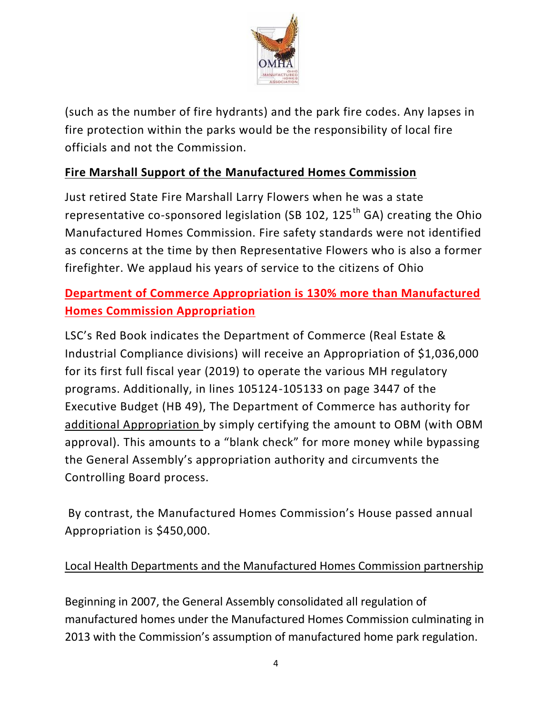

(such as the number of fire hydrants) and the park fire codes. Any lapses in fire protection within the parks would be the responsibility of local fire officials and not the Commission.

### **Fire Marshall Support of the Manufactured Homes Commission**

Just retired State Fire Marshall Larry Flowers when he was a state representative co-sponsored legislation (SB 102, 125<sup>th</sup> GA) creating the Ohio Manufactured Homes Commission. Fire safety standards were not identified as concerns at the time by then Representative Flowers who is also a former firefighter. We applaud his years of service to the citizens of Ohio

## **Department of Commerce Appropriation is 130% more than Manufactured Homes Commission Appropriation**

LSC's Red Book indicates the Department of Commerce (Real Estate & Industrial Compliance divisions) will receive an Appropriation of \$1,036,000 for its first full fiscal year (2019) to operate the various MH regulatory programs. Additionally, in lines 105124-105133 on page 3447 of the Executive Budget (HB 49), The Department of Commerce has authority for additional Appropriation by simply certifying the amount to OBM (with OBM approval). This amounts to a "blank check" for more money while bypassing the General Assembly's appropriation authority and circumvents the Controlling Board process.

By contrast, the Manufactured Homes Commission's House passed annual Appropriation is \$450,000.

### Local Health Departments and the Manufactured Homes Commission partnership

Beginning in 2007, the General Assembly consolidated all regulation of manufactured homes under the Manufactured Homes Commission culminating in 2013 with the Commission's assumption of manufactured home park regulation.